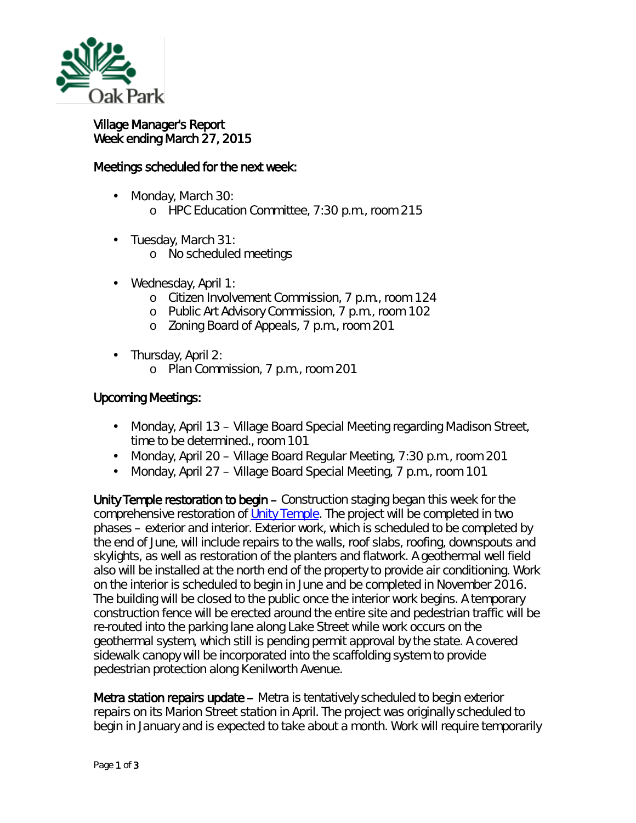

## Village Manager's Report Week ending March 27, 2015

## Meetings scheduled for the next week:

- Monday, March 30:
	- o HPC Education Committee, 7:30 p.m., room 215
- Tuesday, March 31:
	- o No scheduled meetings
- ä, Wednesday, April 1:
	- o Citizen Involvement Commission, 7 p.m., room 124
	- o Public Art Advisory Commission, 7 p.m., room 102
	- o Zoning Board of Appeals, 7 p.m., room 201
- Thursday, April 2:
	- o Plan Commission, 7 p.m., room 201

## Upcoming Meetings:

- Monday, April 13 Village Board Special Meeting regarding Madison Street,  $\mathbf{r}$ time to be determined., room 101
- Monday, April 20 Village Board Regular Meeting, 7:30 p.m., room 201
- Monday, April 27 Village Board Special Meeting, 7 p.m., room 101

Unity Temple restoration to begin – Construction staging began this week for the comprehensive restoration of [Unity Temple.](http://www.utrf.org/) The project will be completed in two phases – exterior and interior. Exterior work, which is scheduled to be completed by the end of June, will include repairs to the walls, roof slabs, roofing, downspouts and skylights, as well as restoration of the planters and flatwork. A geothermal well field also will be installed at the north end of the property to provide air conditioning. Work on the interior is scheduled to begin in June and be completed in November 2016. The building will be closed to the public once the interior work begins. A temporary construction fence will be erected around the entire site and pedestrian traffic will be re-routed into the parking lane along Lake Street while work occurs on the geothermal system, which still is pending permit approval by the state. A covered sidewalk canopy will be incorporated into the scaffolding system to provide pedestrian protection along Kenilworth Avenue.

Metra station repairs update – Metra is tentatively scheduled to begin exterior repairs on its Marion Street station in April. The project was originally scheduled to begin in January and is expected to take about a month. Work will require temporarily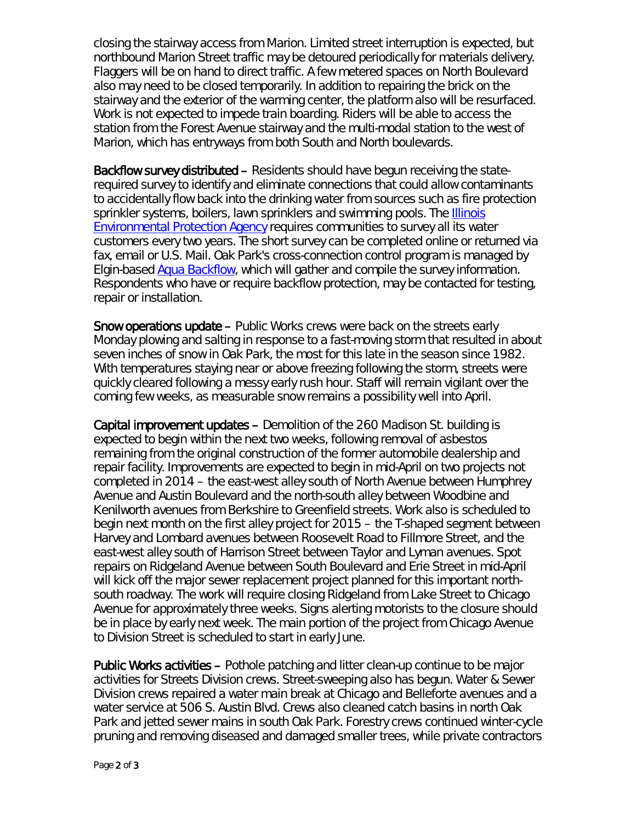closing the stairway access from Marion. Limited street interruption is expected, but northbound Marion Street traffic may be detoured periodically for materials delivery. Flaggers will be on hand to direct traffic. A few metered spaces on North Boulevard also may need to be closed temporarily. In addition to repairing the brick on the stairway and the exterior of the warming center, the platform also will be resurfaced. Work is not expected to impede train boarding. Riders will be able to access the station from the Forest Avenue stairway and the multi-modal station to the west of Marion, which has entryways from both South and North boulevards.

Backflow survey distributed – Residents should have begun receiving the staterequired survey to identify and eliminate connections that could allow contaminants to accidentally flow back into the drinking water from sources such as fire protection sprinkler systems, boilers, lawn sprinklers and swimming pools. The [Illinois](http://r20.rs6.net/tn.jsp?e=0018gIeCEgz2rnRVac4aL_gBIKVxWMfoeFtPoqU9VgCYUFNTPS27dzbJI2HvIqBB3AjXBw0fJ_up_qGbsR_QuoVMVh6Vld1_kV_ZFj4ASbZdTPPjq-PtRrcEQ==)  [Environmental Protection Agency](http://r20.rs6.net/tn.jsp?e=0018gIeCEgz2rnRVac4aL_gBIKVxWMfoeFtPoqU9VgCYUFNTPS27dzbJI2HvIqBB3AjXBw0fJ_up_qGbsR_QuoVMVh6Vld1_kV_ZFj4ASbZdTPPjq-PtRrcEQ==) requires communities to survey all its water customers every two years. The short survey can be completed online or returned via fax, email or U.S. Mail. Oak Park's cross-connection control program is managed by Elgin-based [Aqua Backflow,](http://r20.rs6.net/tn.jsp?e=0018gIeCEgz2rnRVac4aL_gBIKVxWMfoeFtPoqU9VgCYUFNTPS27dzbJI2HvIqBB3AjXBw0fJ_up_qHHid-xkTmSNaxAte0fKTOML8-xXtfb-cFHu4tyZjdsw==) which will gather and compile the survey information. Respondents who have or require backflow protection, may be contacted for testing, repair or installation.

Snow operations update – Public Works crews were back on the streets early Monday plowing and salting in response to a fast-moving storm that resulted in about seven inches of snow in Oak Park, the most for this late in the season since 1982. With temperatures staying near or above freezing following the storm, streets were quickly cleared following a messy early rush hour. Staff will remain vigilant over the coming few weeks, as measurable snow remains a possibility well into April.

Capital improvement updates – Demolition of the 260 Madison St. building is expected to begin within the next two weeks, following removal of asbestos remaining from the original construction of the former automobile dealership and repair facility. Improvements are expected to begin in mid-April on two projects not completed in 2014 – the east-west alley south of North Avenue between Humphrey Avenue and Austin Boulevard and the north-south alley between Woodbine and Kenilworth avenues from Berkshire to Greenfield streets. Work also is scheduled to begin next month on the first alley project for 2015 – the T-shaped segment between Harvey and Lombard avenues between Roosevelt Road to Fillmore Street, and the east-west alley south of Harrison Street between Taylor and Lyman avenues. Spot repairs on Ridgeland Avenue between South Boulevard and Erie Street in mid-April will kick off the major sewer replacement project planned for this important northsouth roadway. The work will require closing Ridgeland from Lake Street to Chicago Avenue for approximately three weeks. Signs alerting motorists to the closure should be in place by early next week. The main portion of the project from Chicago Avenue to Division Street is scheduled to start in early June.

Public Works activities – Pothole patching and litter clean-up continue to be major activities for Streets Division crews. Street-sweeping also has begun. Water & Sewer Division crews repaired a water main break at Chicago and Belleforte avenues and a water service at 506 S. Austin Blvd. Crews also cleaned catch basins in north Oak Park and jetted sewer mains in south Oak Park. Forestry crews continued winter-cycle pruning and removing diseased and damaged smaller trees, while private contractors